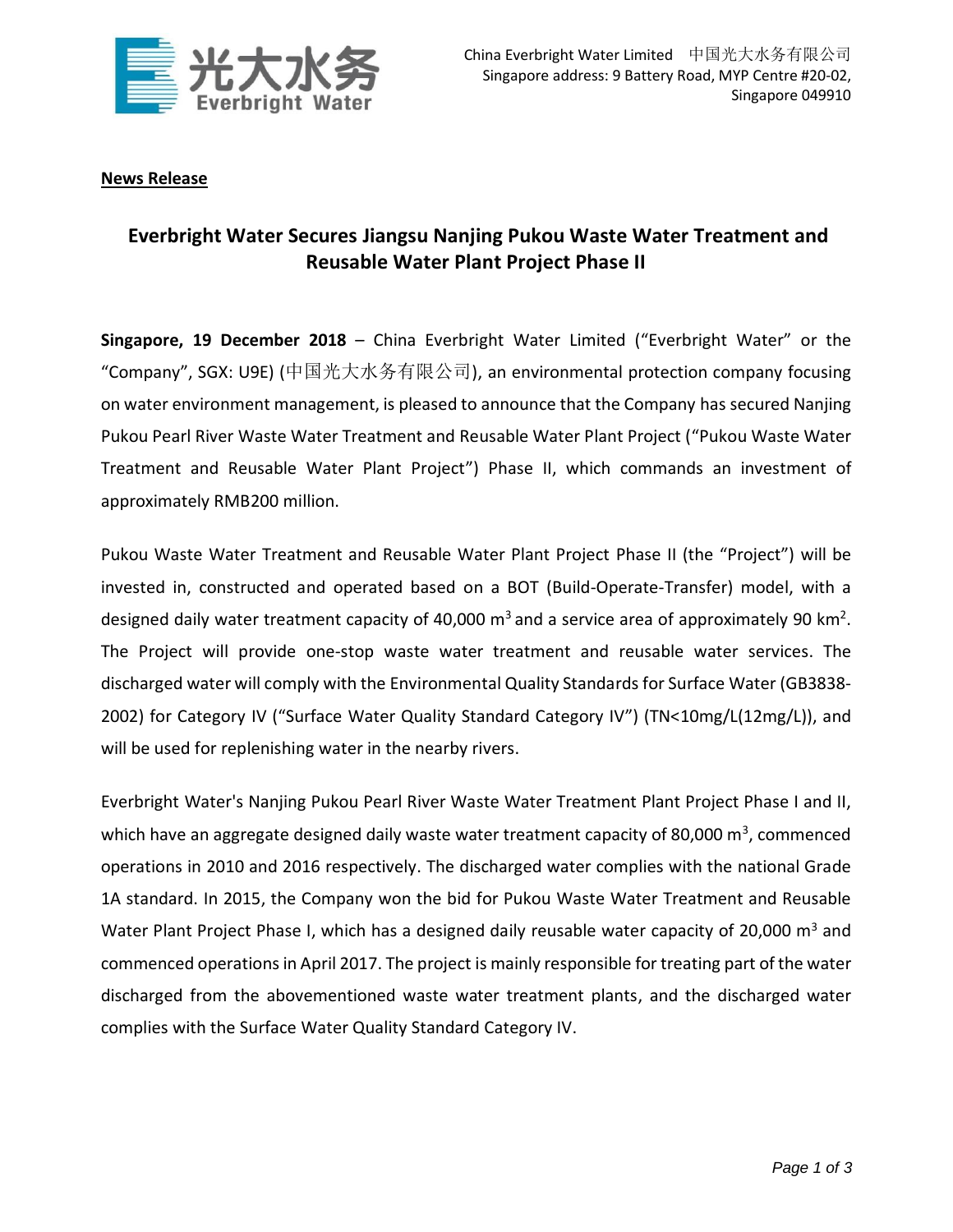

## **News Release**

## **Everbright Water Secures Jiangsu Nanjing Pukou Waste Water Treatment and Reusable Water Plant Project Phase II**

**Singapore, 19 December 2018** – China Everbright Water Limited ("Everbright Water" or the "Company", SGX: U9E) (中国光大水务有限公司), an environmental protection company focusing on water environment management, is pleased to announce that the Company has secured Nanjing Pukou Pearl River Waste Water Treatment and Reusable Water Plant Project ("Pukou Waste Water Treatment and Reusable Water Plant Project") Phase II, which commands an investment of approximately RMB200 million.

Pukou Waste Water Treatment and Reusable Water Plant Project Phase II (the "Project") will be invested in, constructed and operated based on a BOT (Build-Operate-Transfer) model, with a designed daily water treatment capacity of 40,000  $\text{m}^3$  and a service area of approximately 90 km<sup>2</sup>. The Project will provide one-stop waste water treatment and reusable water services. The discharged water will comply with the Environmental Quality Standards for Surface Water (GB3838- 2002) for Category IV ("Surface Water Quality Standard Category IV") (TN<10mg/L(12mg/L)), and will be used for replenishing water in the nearby rivers.

Everbright Water's Nanjing Pukou Pearl River Waste Water Treatment Plant Project Phase I and II, which have an aggregate designed daily waste water treatment capacity of 80,000  $\text{m}^3$ , commenced operations in 2010 and 2016 respectively. The discharged water complies with the national Grade 1A standard. In 2015, the Company won the bid for Pukou Waste Water Treatment and Reusable Water Plant Project Phase I, which has a designed daily reusable water capacity of 20,000  $m<sup>3</sup>$  and commenced operations in April 2017. The project is mainly responsible for treating part of the water discharged from the abovementioned waste water treatment plants, and the discharged water complies with the Surface Water Quality Standard Category IV.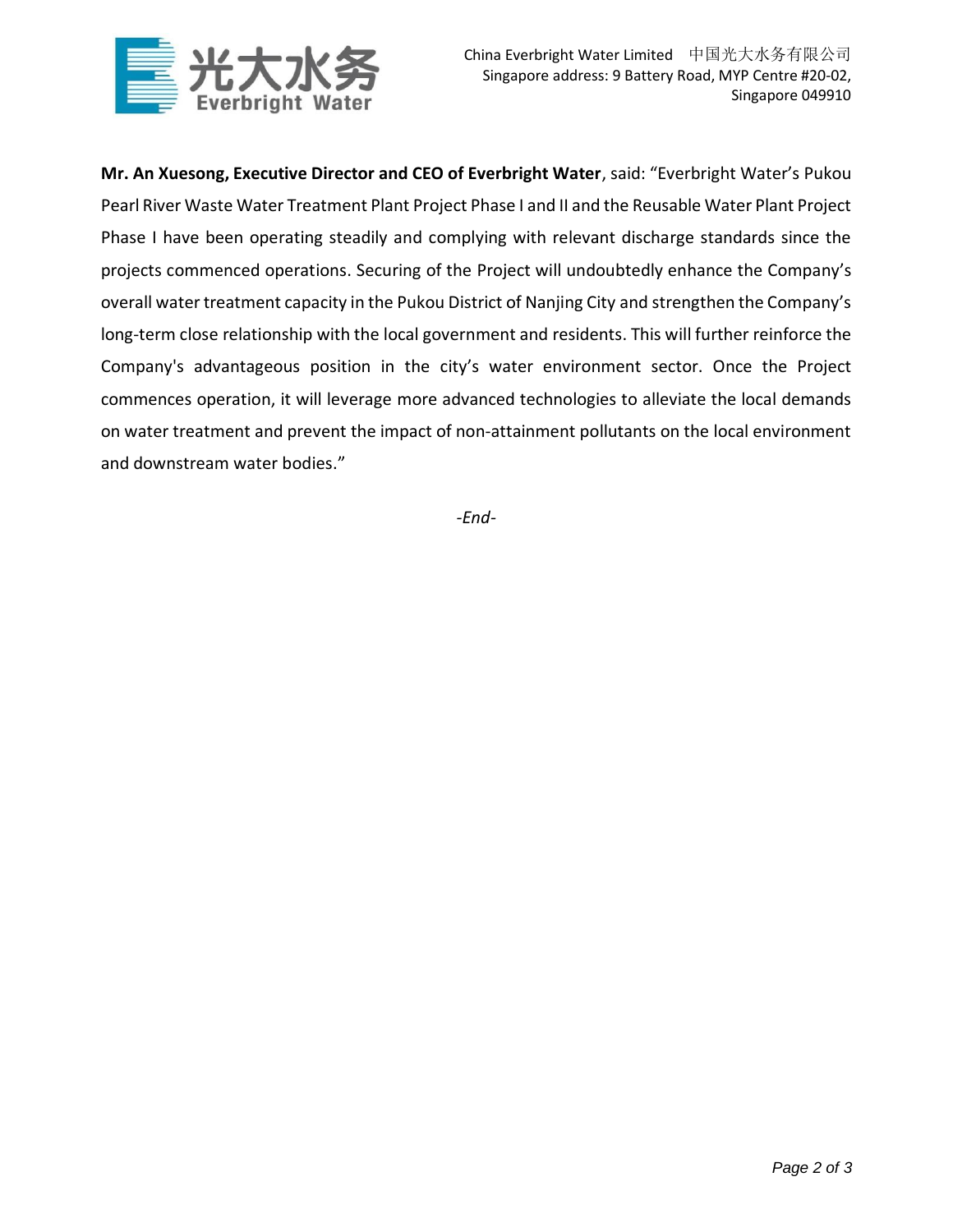

**Mr. An Xuesong, Executive Director and CEO of Everbright Water**, said: "Everbright Water's Pukou Pearl River Waste Water Treatment Plant Project Phase I and II and the Reusable Water Plant Project Phase I have been operating steadily and complying with relevant discharge standards since the projects commenced operations. Securing of the Project will undoubtedly enhance the Company's overall water treatment capacity in the Pukou District of Nanjing City and strengthen the Company's long-term close relationship with the local government and residents. This will further reinforce the Company's advantageous position in the city's water environment sector. Once the Project commences operation, it will leverage more advanced technologies to alleviate the local demands on water treatment and prevent the impact of non-attainment pollutants on the local environment and downstream water bodies."

*-End-*